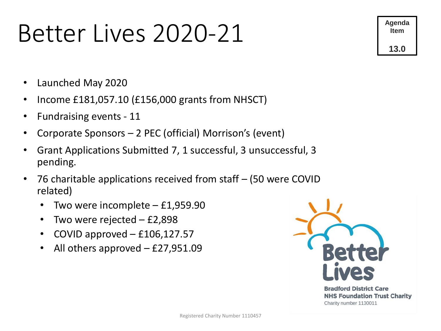### Better Lives 2020-21



- Launched May 2020
- Income £181,057.10 (£156,000 grants from NHSCT)
- Fundraising events 11
- Corporate Sponsors 2 PEC (official) Morrison's (event)
- Grant Applications Submitted 7, 1 successful, 3 unsuccessful, 3 pending.
- 76 charitable applications received from staff (50 were COVID related)
	- Two were incomplete  $-$  £1,959.90
	- Two were rejected  $-$  £2,898
	- COVID approved  $-$  £106,127.57
	- All others approved  $-$  £27,951.09

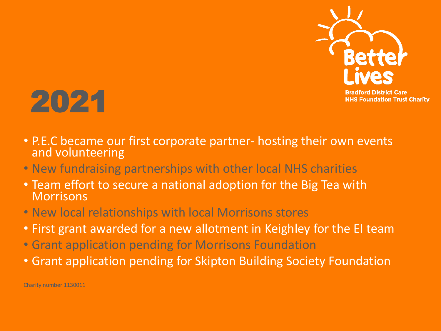



- P.E.C became our first corporate partner- hosting their own events and volunteering
- New fundraising partnerships with other local NHS charities
- Team effort to secure a national adoption for the Big Tea with **Morrisons**
- New local relationships with local Morrisons stores
- First grant awarded for a new allotment in Keighley for the EI team
- Grant application pending for Morrisons Foundation
- Grant application pending for Skipton Building Society Foundation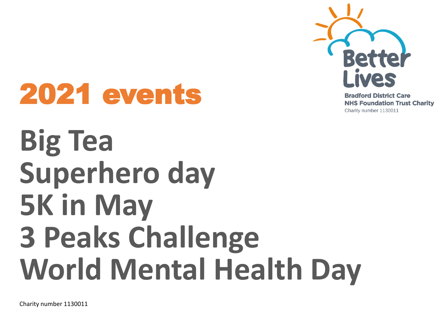

**Bradford District Care NHS Foundation Trust Charity** Charity number 1130011

## 2021 events

## **Big Tea Superhero day 5K in May 3 Peaks Challenge World Mental Health Day**

Charity number 1130011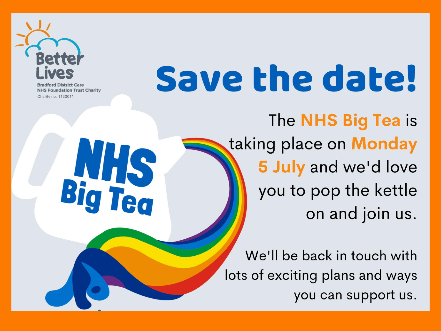

**District Care NHS Foundation Trust Charity** Charity no. 1130011

**NHS**<br>Big Tea

# Save the date!

The **NHS Big Tea** is taking place on **Monday** 5 July and we'd love you to pop the kettle on and join us.

We'll be back in touch with lots of exciting plans and ways you can support us.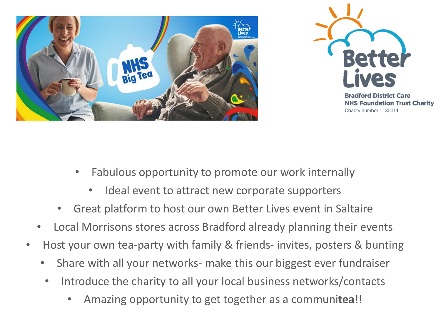



**Bradford District Care NHS Foundation Trust Charity** Charity number 1130011

- Fabulous opportunity to promote our work internally
	- Ideal event to attract new corporate supporters
- Great platform to host our own Better Lives event in Saltaire
- Local Morrisons stores across Bradford already planning their events
- Host your own tea-party with family & friends- invites, posters & bunting
	- Share with all your networks- make this our biggest ever fundraiser
	- Introduce the charity to all your local business networks/contacts
		- Amazing opportunity to get together as a communi**tea**!!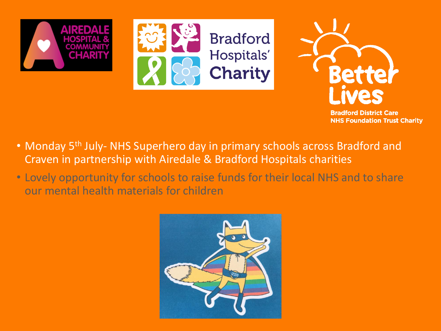





**Bradford District Care NHS Foundation Trust Charity** 

- Monday 5<sup>th</sup> July- NHS Superhero day in primary schools across Bradford and Craven in partnership with Airedale & Bradford Hospitals charities
- Lovely opportunity for schools to raise funds for their local NHS and to share our mental health materials for children

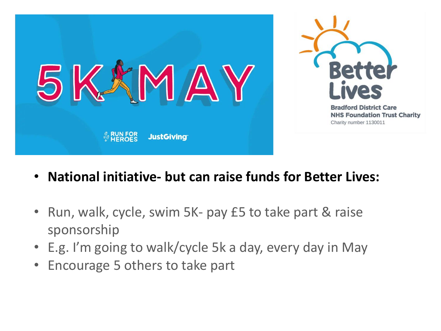

- **National initiative- but can raise funds for Better Lives:**
- Run, walk, cycle, swim 5K- pay £5 to take part & raise sponsorship
- E.g. I'm going to walk/cycle 5k a day, every day in May
- Encourage 5 others to take part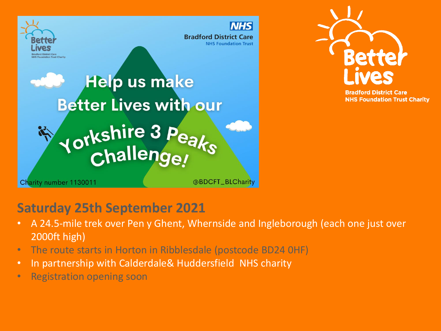



**Bradford District Care NHS Foundation Trust Charity** 

### **Saturday 25th September 2021**

- A 24.5-mile trek over Pen y Ghent, Whernside and Ingleborough (each one just over 2000ft high)
- The route starts in Horton in Ribblesdale (postcode BD24 0HF)
- In partnership with Calderdale& Huddersfield NHS charity
- Registration opening soon